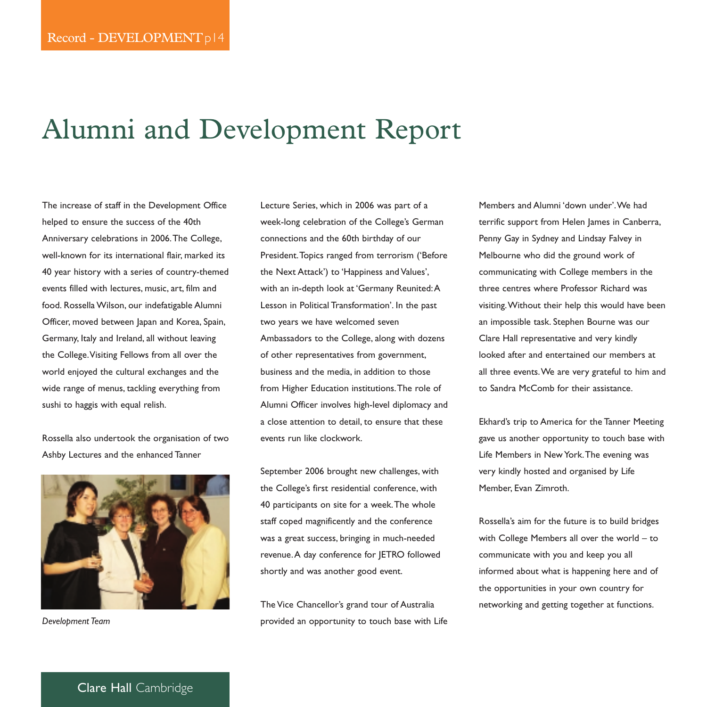# Alumni and Development Report

The increase of staff in the Development Office helped to ensure the success of the 40th Anniversary celebrations in 2006.The College, well-known for its international flair, marked its 40 year history with a series of country-themed events filled with lectures, music, art, film and food. Rossella Wilson, our indefatigable Alumni Officer, moved between Japan and Korea, Spain, Germany, Italy and Ireland, all without leaving the College.Visiting Fellows from all over the world enjoyed the cultural exchanges and the wide range of menus, tackling everything from sushi to haggis with equal relish.

Rossella also undertook the organisation of two Ashby Lectures and the enhanced Tanner



*Development Team*

Lecture Series, which in 2006 was part of a week-long celebration of the College's German connections and the 60th birthday of our President.Topics ranged from terrorism ('Before the Next Attack') to 'Happiness and Values', with an in-depth look at 'Germany Reunited:A Lesson in Political Transformation'. In the past two years we have welcomed seven Ambassadors to the College, along with dozens of other representatives from government, business and the media, in addition to those from Higher Education institutions.The role of Alumni Officer involves high-level diplomacy and a close attention to detail, to ensure that these events run like clockwork.

September 2006 brought new challenges, with the College's first residential conference, with 40 participants on site for a week.The whole staff coped magnificently and the conference was a great success, bringing in much-needed revenue.A day conference for JETRO followed shortly and was another good event.

The Vice Chancellor's grand tour of Australia provided an opportunity to touch base with Life Members and Alumni 'down under'.We had terrific support from Helen James in Canberra, Penny Gay in Sydney and Lindsay Falvey in Melbourne who did the ground work of communicating with College members in the three centres where Professor Richard was visiting.Without their help this would have been an impossible task. Stephen Bourne was our Clare Hall representative and very kindly looked after and entertained our members at all three events.We are very grateful to him and to Sandra McComb for their assistance.

Ekhard's trip to America for the Tanner Meeting gave us another opportunity to touch base with Life Members in New York.The evening was very kindly hosted and organised by Life Member, Evan Zimroth.

Rossella's aim for the future is to build bridges with College Members all over the world – to communicate with you and keep you all informed about what is happening here and of the opportunities in your own country for networking and getting together at functions.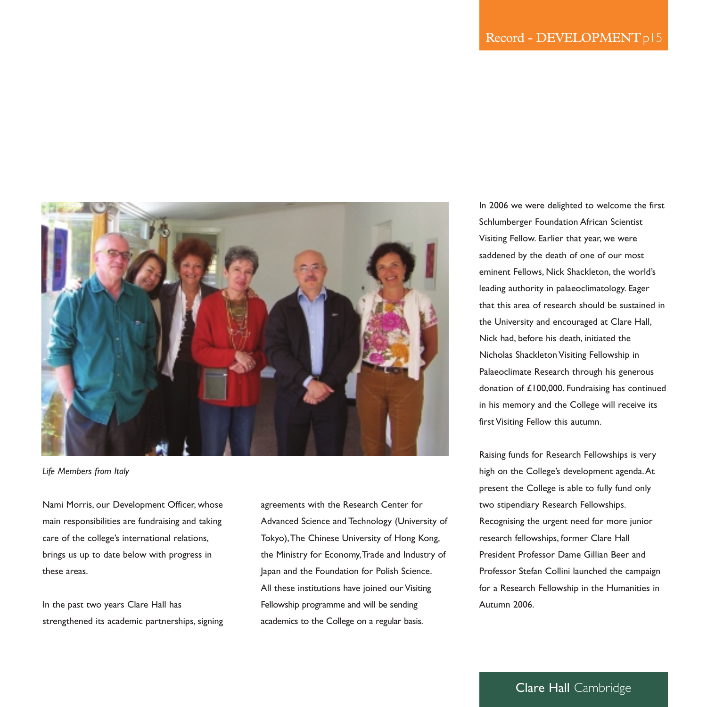

*Life Members from Italy*

Nami Morris, our Development Officer, whose main responsibilities are fundraising and taking care of the college's international relations, brings us up to date below with progress in these areas.

In the past two years Clare Hall has strengthened its academic partnerships, signing

agreements with the Research Center for Advanced Science and Technology (University of Tokyo),The Chinese University of Hong Kong, the Ministry for Economy,Trade and Industry of Japan and the Foundation for Polish Science. All these institutions have joined our Visiting Fellowship programme and will be sending academics to the College on a regular basis.

In 2006 we were delighted to welcome the first Schlumberger Foundation African Scientist Visiting Fellow. Earlier that year, we were saddened by the death of one of our most eminent Fellows, Nick Shackleton, the world's leading authority in palaeoclimatology. Eager that this area of research should be sustained in the University and encouraged at Clare Hall, Nick had, before his death, initiated the Nicholas Shackleton Visiting Fellowship in Palaeoclimate Research through his generous donation of £100,000. Fundraising has continued in his memory and the College will receive its first Visiting Fellow this autumn.

Raising funds for Research Fellowships is very high on the College's development agenda.At present the College is able to fully fund only two stipendiary Research Fellowships. Recognising the urgent need for more junior research fellowships, former Clare Hall President Professor Dame Gillian Beer and Professor Stefan Collini launched the campaign for a Research Fellowship in the Humanities in Autumn 2006.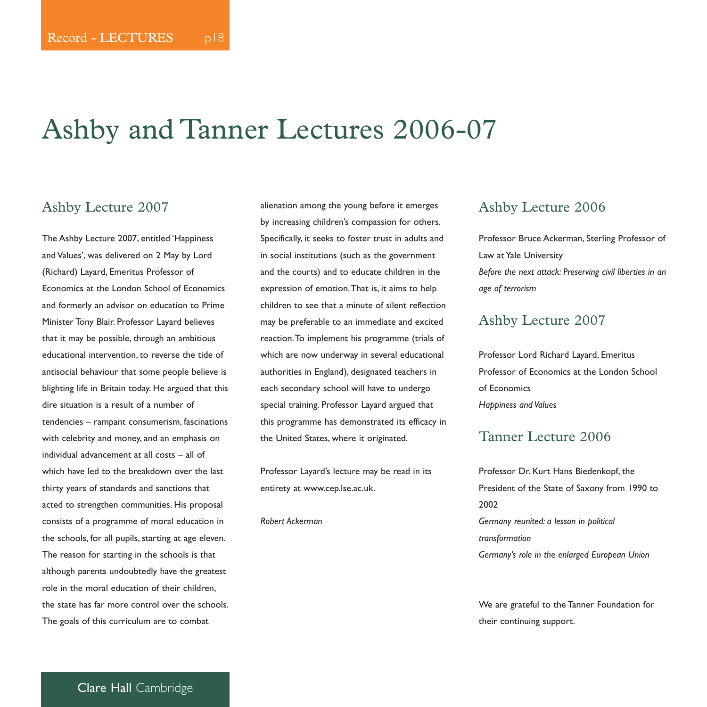# Ashby and Tanner Lectures 2006-07

#### Ashby Lecture 2007

The Ashby Lecture 2007, entitled 'Happiness and Values', was delivered on 2 May by Lord (Richard) Layard, Emeritus Professor of Economics at the London School of Economics and formerly an advisor on education to Prime Minister Tony Blair. Professor Layard believes that it may be possible, through an ambitious educational intervention, to reverse the tide of antisocial behaviour that some people believe is blighting life in Britain today. He argued that this dire situation is a result of a number of tendencies – rampant consumerism, fascinations with celebrity and money, and an emphasis on individual advancement at all costs – all of which have led to the breakdown over the last thirty years of standards and sanctions that acted to strengthen communities. His proposal consists of a programme of moral education in the schools, for all pupils, starting at age eleven. The reason for starting in the schools is that although parents undoubtedly have the greatest role in the moral education of their children, the state has far more control over the schools. The goals of this curriculum are to combat

alienation among the young before it emerges by increasing children's compassion for others. Specifically, it seeks to foster trust in adults and in social institutions (such as the government and the courts) and to educate children in the expression of emotion.That is, it aims to help children to see that a minute of silent reflection may be preferable to an immediate and excited reaction.To implement his programme (trials of which are now underway in several educational authorities in England), designated teachers in each secondary school will have to undergo special training. Professor Layard argued that this programme has demonstrated its efficacy in the United States, where it originated.

Professor Layard's lecture may be read in its entirety at www.cep.lse.ac.uk.

*Robert Ackerman* 

#### Ashby Lecture 2006

Professor Bruce Ackerman, Sterling Professor of Law at Yale University *Before the next attack: Preserving civil liberties in an age of terrorism*

#### Ashby Lecture 2007

Professor Lord Richard Layard, Emeritus Professor of Economics at the London School of Economics *Happiness and Values*

#### Tanner Lecture 2006

Professor Dr. Kurt Hans Biedenkopf, the President of the State of Saxony from 1990 to 2002 *Germany reunited: a lesson in political transformation Germany's role in the enlarged European Union*

We are grateful to the Tanner Foundation for their continuing support.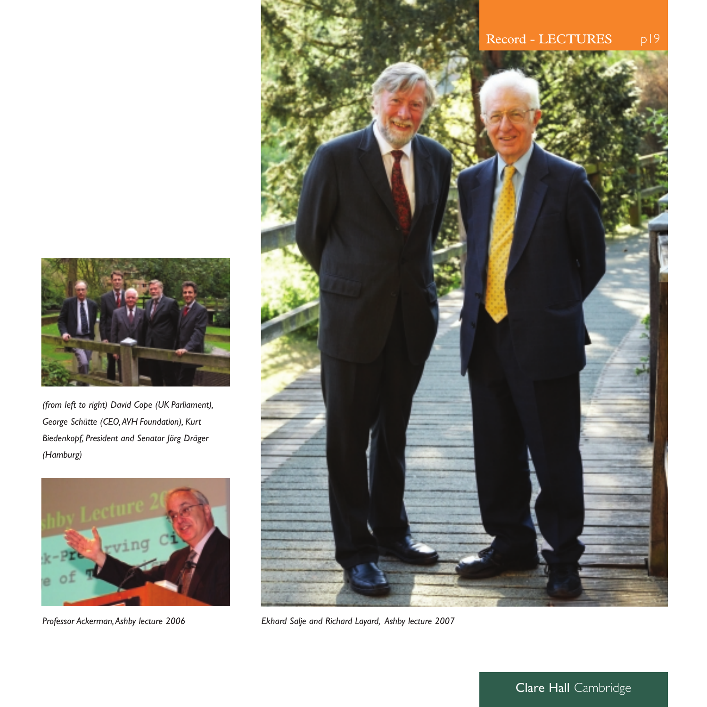

*(from left to right) David Cope (UK Parliament), George Schütte (CEO,AVH Foundation), Kurt Biedenkopf, President and Senator Jörg Dräger (Hamburg)*





*Professor Ackerman,Ashby lecture 2006 Ekhard Salje and Richard Layard, Ashby lecture 2007*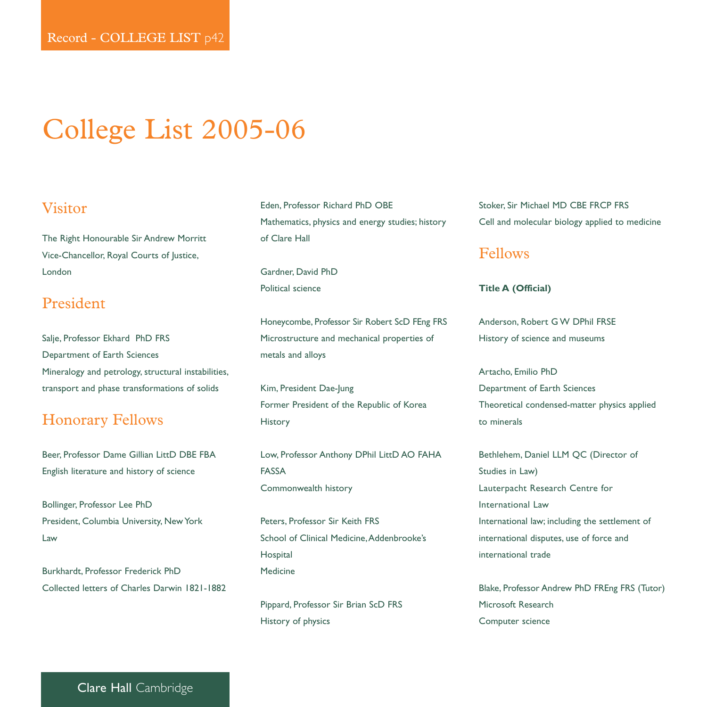# College List 2005-06

#### Visitor

The Right Honourable Sir Andrew Morritt Vice-Chancellor, Royal Courts of Justice, London

## President

Salje, Professor Ekhard PhD FRS Department of Earth Sciences Mineralogy and petrology, structural instabilities, transport and phase transformations of solids

## Honorary Fellows

Beer, Professor Dame Gillian LittD DBE FBA English literature and history of science

Bollinger, Professor Lee PhD President, Columbia University, New York Law

Burkhardt, Professor Frederick PhD Collected letters of Charles Darwin 1821-1882 Eden, Professor Richard PhD OBE Mathematics, physics and energy studies; history of Clare Hall

Gardner, David PhD Political science

Honeycombe, Professor Sir Robert ScD FEng FRS Microstructure and mechanical properties of metals and alloys

Kim, President Dae-Jung Former President of the Republic of Korea History

Low, Professor Anthony DPhil LittD AO FAHA FASSA Commonwealth history

Peters, Professor Sir Keith FRS School of Clinical Medicine, Addenbrooke's Hospital Medicine

Pippard, Professor Sir Brian ScD FRS History of physics

Stoker, Sir Michael MD CBE FRCP FRS Cell and molecular biology applied to medicine

#### Fellows

#### **Title A (Official)**

Anderson, Robert G W DPhil FRSE History of science and museums

Artacho, Emilio PhD Department of Earth Sciences Theoretical condensed-matter physics applied to minerals

Bethlehem, Daniel LLM QC (Director of Studies in Law) Lauterpacht Research Centre for International Law International law; including the settlement of international disputes, use of force and international trade

Blake, Professor Andrew PhD FREng FRS (Tutor) Microsoft Research Computer science